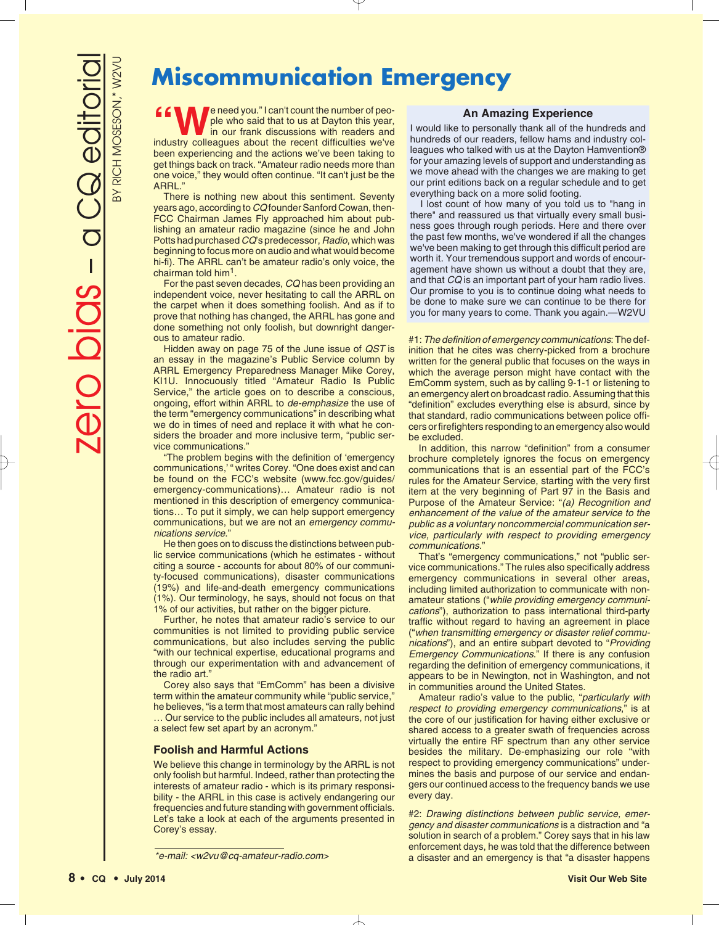# **Miscommunication Emergency**

**e** need you." I can't count the number of people who said that to us at Dayton this year, in our frank discussions with readers and industry colleagues about the recent difficulties we've been experiencing and the actions we've been taking to get things back on track. "Amateur radio needs more than one voice," they would often continue. "It can't just be the ARRL."

There is nothing new about this sentiment. Seventy years ago, according to *CQ* founder Sanford Cowan, then-FCC Chairman James Fly approached him about publishing an amateur radio magazine (since he and John Potts had purchased *CQ*'s predecessor, *Radio*, which was beginning to focus more on audio and what would become hi-fi). The ARRL can't be amateur radio's only voice, the chairman told him1.

For the past seven decades, *CQ* has been providing an independent voice, never hesitating to call the ARRL on the carpet when it does something foolish. And as if to prove that nothing has changed, the ARRL has gone and done something not only foolish, but downright dangerous to amateur radio.

Hidden away on page 75 of the June issue of *QST* is an essay in the magazine's Public Service column by ARRL Emergency Preparedness Manager Mike Corey, KI1U. Innocuously titled "Amateur Radio Is Public Service," the article goes on to describe a conscious, ongoing, effort within ARRL to *de-emphasize* the use of the term "emergency communications" in describing what we do in times of need and replace it with what he considers the broader and more inclusive term, "public service communications."

"The problem begins with the definition of 'emergency communications,' " writes Corey. "One does exist and can be found on the FCC's website (www.fcc.gov/guides/ emergency-communications)… Amateur radio is not mentioned in this description of emergency communications… To put it simply, we can help support emergency communications, but we are not an *emergency communications service*."

He then goes on to discuss the distinctions between public service communications (which he estimates - without citing a source - accounts for about 80% of our community-focused communications), disaster communications (19%) and life-and-death emergency communications (1%). Our terminology, he says, should not focus on that 1% of our activities, but rather on the bigger picture.

Further, he notes that amateur radio's service to our communities is not limited to providing public service communications, but also includes serving the public "with our technical expertise, educational programs and through our experimentation with and advancement of the radio art.

Corey also says that "EmComm" has been a divisive term within the amateur community while "public service," he believes, "is a term that most amateurs can rally behind

… Our service to the public includes all amateurs, not just a select few set apart by an acronym."

## **Foolish and Harmful Actions**

We believe this change in terminology by the ARRL is not only foolish but harmful. Indeed, rather than protecting the interests of amateur radio - which is its primary responsibility - the ARRL in this case is actively endangering our frequencies and future standing with government officials. Let's take a look at each of the arguments presented in Corey's essay.

### **An Amazing Experience**

I would like to personally thank all of the hundreds and hundreds of our readers, fellow hams and industry colleagues who talked with us at the Dayton Hamvention® for your amazing levels of support and understanding as we move ahead with the changes we are making to get our print editions back on a regular schedule and to get everything back on a more solid footing.

I lost count of how many of you told us to "hang in there" and reassured us that virtually every small business goes through rough periods. Here and there over the past few months, we've wondered if all the changes we've been making to get through this difficult period are worth it. Your tremendous support and words of encouragement have shown us without a doubt that they are, and that *CQ* is an important part of your ham radio lives. Our promise to you is to continue doing what needs to be done to make sure we can continue to be there for you for many years to come. Thank you again.—W2VU

#1: *The definition of emergency communications*: The definition that he cites was cherry-picked from a brochure written for the general public that focuses on the ways in which the average person might have contact with the EmComm system, such as by calling 9-1-1 or listening to an emergency alert on broadcast radio. Assuming that this "definition" excludes everything else is absurd, since by that standard, radio communications between police officers or firefighters responding to an emergency also would be excluded.

In addition, this narrow "definition" from a consumer brochure completely ignores the focus on emergency communications that is an essential part of the FCC's rules for the Amateur Service, starting with the very first item at the very beginning of Part 97 in the Basis and Purpose of the Amateur Service: "*(a) Recognition and enhancement of the value of the amateur service to the public as a voluntary noncommercial communication service, particularly with respect to providing emergency communications.*"

That's "emergency communications," not "public service communications." The rules also specifically address emergency communications in several other areas, including limited authorization to communicate with nonamateur stations ("*while providing emergency communications*"), authorization to pass international third-party traffic without regard to having an agreement in place ("*when transmitting emergency or disaster relief communications*"), and an entire subpart devoted to "*Providing Emergency Communications*." If there is any confusion regarding the definition of emergency communications, it appears to be in Newington, not in Washington, and not in communities around the United States.

Amateur radio's value to the public, "*particularly with respect to providing emergency communications*," is at the core of our justification for having either exclusive or shared access to a greater swath of frequencies across virtually the entire RF spectrum than any other service besides the military. De-emphasizing our role "with respect to providing emergency communications" undermines the basis and purpose of our service and endangers our continued access to the frequency bands we use every day.

#2: *Drawing distinctions between public service, emergency and disaster communications* is a distraction and "a solution in search of a problem." Corey says that in his law enforcement days, he was told that the difference between a disaster and an emergency is that "a disaster happens

*<sup>\*</sup>e-mail: <w2vu@cq-amateur-radio.com>*